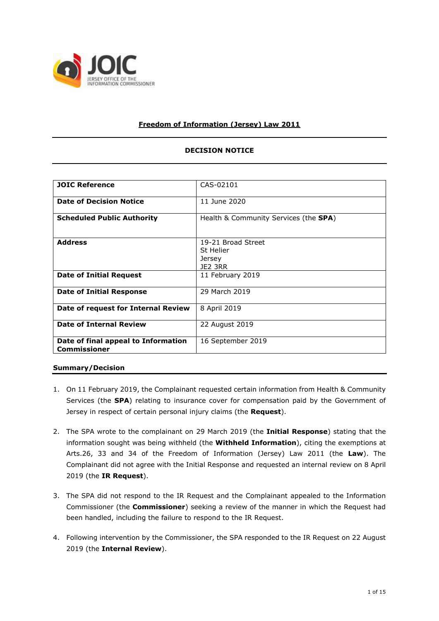

## **Freedom of Information (Jersey) Law 2011**

### **DECISION NOTICE**

| <b>JOIC Reference</b>                               | CAS-02101                                            |
|-----------------------------------------------------|------------------------------------------------------|
| <b>Date of Decision Notice</b>                      | 11 June 2020                                         |
| <b>Scheduled Public Authority</b>                   | Health & Community Services (the SPA)                |
| <b>Address</b>                                      | 19-21 Broad Street<br>St Helier<br>Jersey<br>JE2 3RR |
| <b>Date of Initial Request</b>                      | 11 February 2019                                     |
| <b>Date of Initial Response</b>                     | 29 March 2019                                        |
| Date of request for Internal Review                 | 8 April 2019                                         |
| Date of Internal Review                             | 22 August 2019                                       |
| Date of final appeal to Information<br>Commissioner | 16 September 2019                                    |

### **Summary/Decision**

- 1. On 11 February 2019, the Complainant requested certain information from Health & Community Services (the **SPA**) relating to insurance cover for compensation paid by the Government of Jersey in respect of certain personal injury claims (the **Request**).
- 2. The SPA wrote to the complainant on 29 March 2019 (the **Initial Response**) stating that the information sought was being withheld (the **Withheld Information**), citing the exemptions at Arts.26, 33 and 34 of the Freedom of Information (Jersey) Law 2011 (the **Law**). The Complainant did not agree with the Initial Response and requested an internal review on 8 April 2019 (the **IR Request**).
- 3. The SPA did not respond to the IR Request and the Complainant appealed to the Information Commissioner (the **Commissioner**) seeking a review of the manner in which the Request had been handled, including the failure to respond to the IR Request.
- 4. Following intervention by the Commissioner, the SPA responded to the IR Request on 22 August 2019 (the **Internal Review**).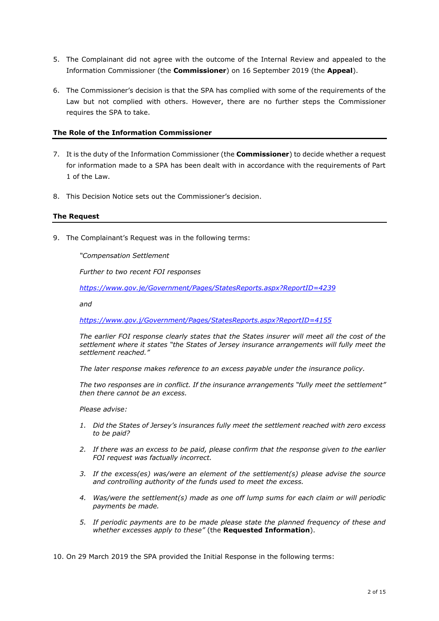- 5. The Complainant did not agree with the outcome of the Internal Review and appealed to the Information Commissioner (the **Commissioner**) on 16 September 2019 (the **Appeal**).
- 6. The Commissioner's decision is that the SPA has complied with some of the requirements of the Law but not complied with others. However, there are no further steps the Commissioner requires the SPA to take.

### **The Role of the Information Commissioner**

- 7. It is the duty of the Information Commissioner (the **Commissioner**) to decide whether a request for information made to a SPA has been dealt with in accordance with the requirements of Part 1 of the Law.
- 8. This Decision Notice sets out the Commissioner's decision.

### **The Request**

9. The Complainant's Request was in the following terms:

*"Compensation Settlement*

*Further to two recent FOI responses*

*<https://www.gov.je/Government/Pages/StatesReports.aspx?ReportID=4239>*

*and*

*<https://www.gov.j/Government/Pages/StatesReports.aspx?ReportID=4155>*

*The earlier FOI response clearly states that the States insurer will meet all the cost of the settlement where it states "the States of Jersey insurance arrangements will fully meet the settlement reached."*

*The later response makes reference to an excess payable under the insurance policy.*

*The two responses are in conflict. If the insurance arrangements "fully meet the settlement" then there cannot be an excess.*

*Please advise:*

- *1. Did the States of Jersey's insurances fully meet the settlement reached with zero excess to be paid?*
- *2. If there was an excess to be paid, please confirm that the response given to the earlier FOI request was factually incorrect.*
- *3. If the excess(es) was/were an element of the settlement(s) please advise the source and controlling authority of the funds used to meet the excess.*
- *4. Was/were the settlement(s) made as one off lump sums for each claim or will periodic payments be made.*
- *5. If periodic payments are to be made please state the planned frequency of these and whether excesses apply to these"* (the **Requested Information**).

10. On 29 March 2019 the SPA provided the Initial Response in the following terms: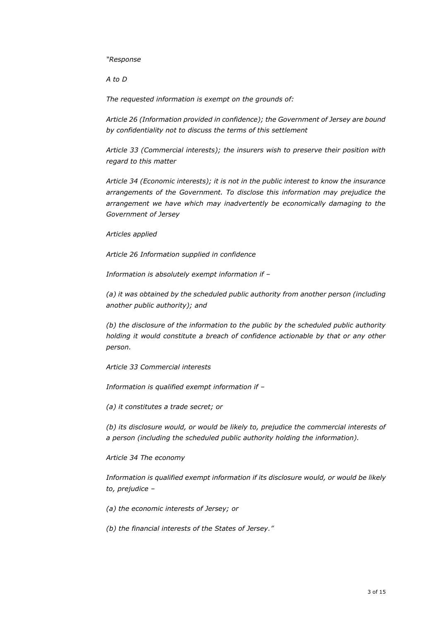### *"Response*

*A to D*

*The requested information is exempt on the grounds of:* 

*Article 26 (Information provided in confidence); the Government of Jersey are bound by confidentiality not to discuss the terms of this settlement* 

*Article 33 (Commercial interests); the insurers wish to preserve their position with regard to this matter*

*Article 34 (Economic interests); it is not in the public interest to know the insurance arrangements of the Government. To disclose this information may prejudice the arrangement we have which may inadvertently be economically damaging to the Government of Jersey*

*Articles applied* 

*Article 26 Information supplied in confidence* 

*Information is absolutely exempt information if –*

*(a) it was obtained by the scheduled public authority from another person (including another public authority); and* 

*(b) the disclosure of the information to the public by the scheduled public authority holding it would constitute a breach of confidence actionable by that or any other person.* 

*Article 33 Commercial interests* 

*Information is qualified exempt information if –*

*(a) it constitutes a trade secret; or* 

*(b) its disclosure would, or would be likely to, prejudice the commercial interests of a person (including the scheduled public authority holding the information).* 

*Article 34 The economy* 

*Information is qualified exempt information if its disclosure would, or would be likely to, prejudice –*

*(a) the economic interests of Jersey; or* 

*(b) the financial interests of the States of Jersey."*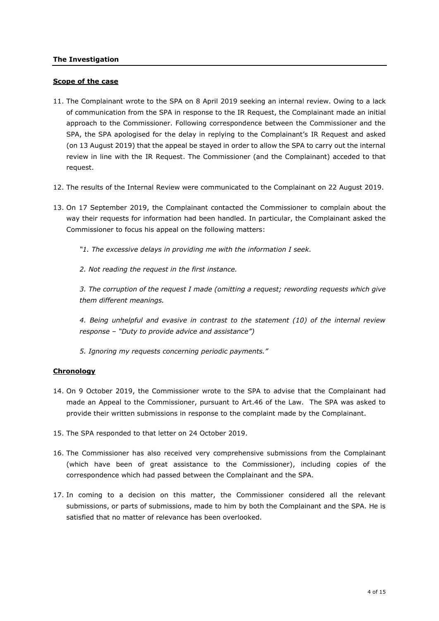### **The Investigation**

### **Scope of the case**

- 11. The Complainant wrote to the SPA on 8 April 2019 seeking an internal review. Owing to a lack of communication from the SPA in response to the IR Request, the Complainant made an initial approach to the Commissioner. Following correspondence between the Commissioner and the SPA, the SPA apologised for the delay in replying to the Complainant's IR Request and asked (on 13 August 2019) that the appeal be stayed in order to allow the SPA to carry out the internal review in line with the IR Request. The Commissioner (and the Complainant) acceded to that request.
- 12. The results of the Internal Review were communicated to the Complainant on 22 August 2019.
- 13. On 17 September 2019, the Complainant contacted the Commissioner to complain about the way their requests for information had been handled. In particular, the Complainant asked the Commissioner to focus his appeal on the following matters:

*"1. The excessive delays in providing me with the information I seek.*

*2. Not reading the request in the first instance.*

*3. The corruption of the request I made (omitting a request; rewording requests which give them different meanings.*

*4. Being unhelpful and evasive in contrast to the statement (10) of the internal review response – "Duty to provide advice and assistance")*

*5. Ignoring my requests concerning periodic payments."*

## **Chronology**

- 14. On 9 October 2019, the Commissioner wrote to the SPA to advise that the Complainant had made an Appeal to the Commissioner, pursuant to Art.46 of the Law. The SPA was asked to provide their written submissions in response to the complaint made by the Complainant.
- 15. The SPA responded to that letter on 24 October 2019.
- 16. The Commissioner has also received very comprehensive submissions from the Complainant (which have been of great assistance to the Commissioner), including copies of the correspondence which had passed between the Complainant and the SPA.
- 17. In coming to a decision on this matter, the Commissioner considered all the relevant submissions, or parts of submissions, made to him by both the Complainant and the SPA. He is satisfied that no matter of relevance has been overlooked.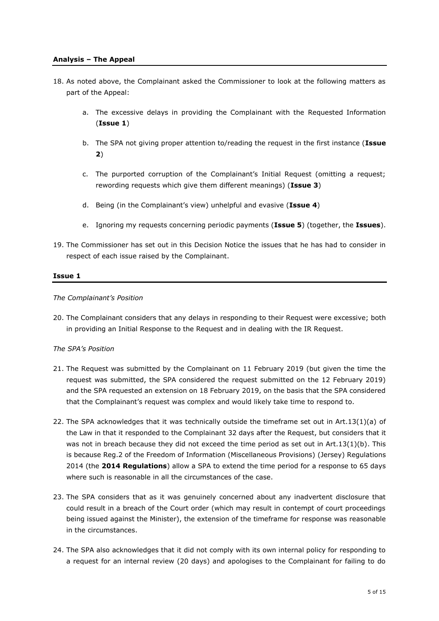### **Analysis – The Appeal**

- 18. As noted above, the Complainant asked the Commissioner to look at the following matters as part of the Appeal:
	- a. The excessive delays in providing the Complainant with the Requested Information (**Issue 1**)
	- b. The SPA not giving proper attention to/reading the request in the first instance (**Issue 2**)
	- c. The purported corruption of the Complainant's Initial Request (omitting a request; rewording requests which give them different meanings) (**Issue 3**)
	- d. Being (in the Complainant's view) unhelpful and evasive (**Issue 4**)
	- e. Ignoring my requests concerning periodic payments (**Issue 5**) (together, the **Issues**).
- 19. The Commissioner has set out in this Decision Notice the issues that he has had to consider in respect of each issue raised by the Complainant.

### **Issue 1**

*The Complainant's Position*

20. The Complainant considers that any delays in responding to their Request were excessive; both in providing an Initial Response to the Request and in dealing with the IR Request.

### *The SPA's Position*

- 21. The Request was submitted by the Complainant on 11 February 2019 (but given the time the request was submitted, the SPA considered the request submitted on the 12 February 2019) and the SPA requested an extension on 18 February 2019, on the basis that the SPA considered that the Complainant's request was complex and would likely take time to respond to.
- 22. The SPA acknowledges that it was technically outside the timeframe set out in Art.13(1)(a) of the Law in that it responded to the Complainant 32 days after the Request, but considers that it was not in breach because they did not exceed the time period as set out in Art.13(1)(b). This is because Reg.2 of the Freedom of Information (Miscellaneous Provisions) (Jersey) Regulations 2014 (the **2014 Regulations**) allow a SPA to extend the time period for a response to 65 days where such is reasonable in all the circumstances of the case.
- 23. The SPA considers that as it was genuinely concerned about any inadvertent disclosure that could result in a breach of the Court order (which may result in contempt of court proceedings being issued against the Minister), the extension of the timeframe for response was reasonable in the circumstances.
- 24. The SPA also acknowledges that it did not comply with its own internal policy for responding to a request for an internal review (20 days) and apologises to the Complainant for failing to do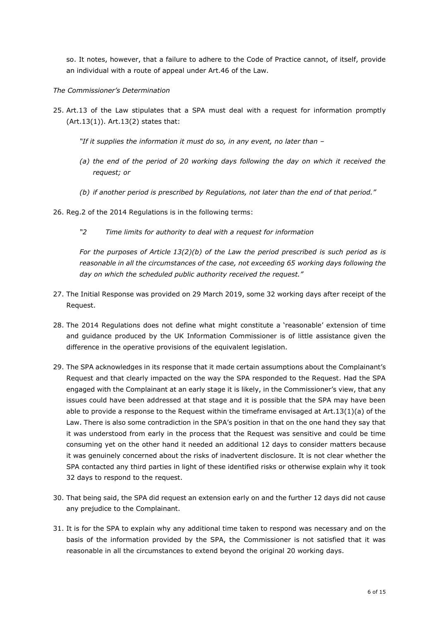so. It notes, however, that a failure to adhere to the Code of Practice cannot, of itself, provide an individual with a route of appeal under Art.46 of the Law.

*The Commissioner's Determination*

- 25. Art.13 of the Law stipulates that a SPA must deal with a request for information promptly (Art.13(1)). Art.13(2) states that:
	- *"If it supplies the information it must do so, in any event, no later than –*
	- *(a) the end of the period of 20 working days following the day on which it received the request; or*
	- *(b) if another period is prescribed by Regulations, not later than the end of that period."*
- 26. Reg.2 of the 2014 Regulations is in the following terms:
	- *"2 Time limits for authority to deal with a request for information*

*For the purposes of Article 13(2)(b) of the Law the period prescribed is such period as is reasonable in all the circumstances of the case, not exceeding 65 working days following the day on which the scheduled public authority received the request."*

- 27. The Initial Response was provided on 29 March 2019, some 32 working days after receipt of the Request.
- 28. The 2014 Regulations does not define what might constitute a 'reasonable' extension of time and guidance produced by the UK Information Commissioner is of little assistance given the difference in the operative provisions of the equivalent legislation.
- 29. The SPA acknowledges in its response that it made certain assumptions about the Complainant's Request and that clearly impacted on the way the SPA responded to the Request. Had the SPA engaged with the Complainant at an early stage it is likely, in the Commissioner's view, that any issues could have been addressed at that stage and it is possible that the SPA may have been able to provide a response to the Request within the timeframe envisaged at Art.13(1)(a) of the Law. There is also some contradiction in the SPA's position in that on the one hand they say that it was understood from early in the process that the Request was sensitive and could be time consuming yet on the other hand it needed an additional 12 days to consider matters because it was genuinely concerned about the risks of inadvertent disclosure. It is not clear whether the SPA contacted any third parties in light of these identified risks or otherwise explain why it took 32 days to respond to the request.
- 30. That being said, the SPA did request an extension early on and the further 12 days did not cause any prejudice to the Complainant.
- 31. It is for the SPA to explain why any additional time taken to respond was necessary and on the basis of the information provided by the SPA, the Commissioner is not satisfied that it was reasonable in all the circumstances to extend beyond the original 20 working days.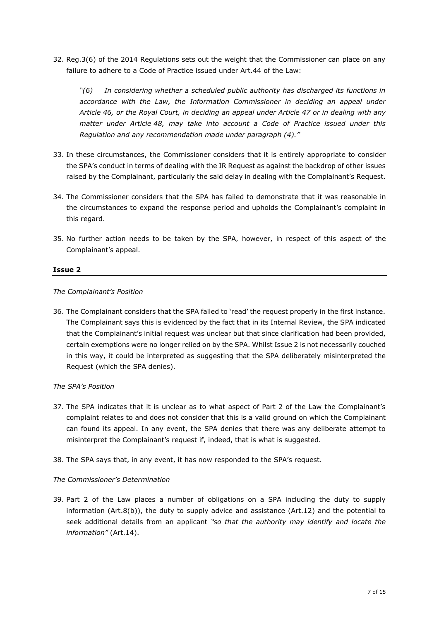32. Reg.3(6) of the 2014 Regulations sets out the weight that the Commissioner can place on any failure to adhere to a Code of Practice issued under Art.44 of the Law:

*"(6) In considering whether a scheduled public authority has discharged its functions in accordance with the Law, the Information Commissioner in deciding an appeal under Article 46, or the Royal Court, in deciding an appeal under Article 47 or in dealing with any matter under Article 48, may take into account a Code of Practice issued under this Regulation and any recommendation made under paragraph (4)."*

- 33. In these circumstances, the Commissioner considers that it is entirely appropriate to consider the SPA's conduct in terms of dealing with the IR Request as against the backdrop of other issues raised by the Complainant, particularly the said delay in dealing with the Complainant's Request.
- 34. The Commissioner considers that the SPA has failed to demonstrate that it was reasonable in the circumstances to expand the response period and upholds the Complainant's complaint in this regard.
- 35. No further action needs to be taken by the SPA, however, in respect of this aspect of the Complainant's appeal.

### **Issue 2**

### *The Complainant's Position*

36. The Complainant considers that the SPA failed to 'read' the request properly in the first instance. The Complainant says this is evidenced by the fact that in its Internal Review, the SPA indicated that the Complainant's initial request was unclear but that since clarification had been provided, certain exemptions were no longer relied on by the SPA. Whilst Issue 2 is not necessarily couched in this way, it could be interpreted as suggesting that the SPA deliberately misinterpreted the Request (which the SPA denies).

### *The SPA's Position*

- 37. The SPA indicates that it is unclear as to what aspect of Part 2 of the Law the Complainant's complaint relates to and does not consider that this is a valid ground on which the Complainant can found its appeal. In any event, the SPA denies that there was any deliberate attempt to misinterpret the Complainant's request if, indeed, that is what is suggested.
- 38. The SPA says that, in any event, it has now responded to the SPA's request.

### *The Commissioner's Determination*

39. Part 2 of the Law places a number of obligations on a SPA including the duty to supply information (Art.8(b)), the duty to supply advice and assistance (Art.12) and the potential to seek additional details from an applicant *"so that the authority may identify and locate the information"* (Art.14).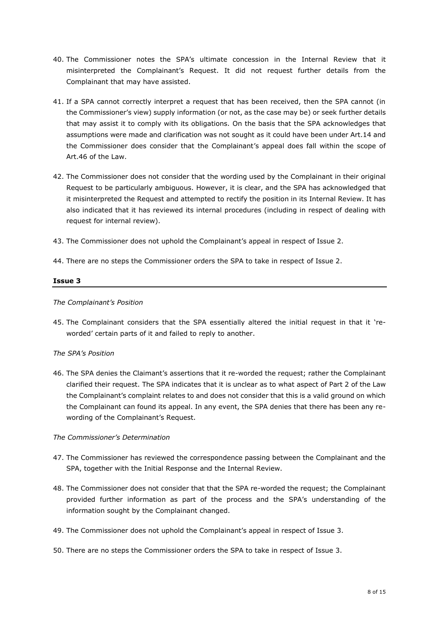- 40. The Commissioner notes the SPA's ultimate concession in the Internal Review that it misinterpreted the Complainant's Request. It did not request further details from the Complainant that may have assisted.
- 41. If a SPA cannot correctly interpret a request that has been received, then the SPA cannot (in the Commissioner's view) supply information (or not, as the case may be) or seek further details that may assist it to comply with its obligations. On the basis that the SPA acknowledges that assumptions were made and clarification was not sought as it could have been under Art.14 and the Commissioner does consider that the Complainant's appeal does fall within the scope of Art.46 of the Law.
- 42. The Commissioner does not consider that the wording used by the Complainant in their original Request to be particularly ambiguous. However, it is clear, and the SPA has acknowledged that it misinterpreted the Request and attempted to rectify the position in its Internal Review. It has also indicated that it has reviewed its internal procedures (including in respect of dealing with request for internal review).
- 43. The Commissioner does not uphold the Complainant's appeal in respect of Issue 2.
- 44. There are no steps the Commissioner orders the SPA to take in respect of Issue 2.

### **Issue 3**

### *The Complainant's Position*

45. The Complainant considers that the SPA essentially altered the initial request in that it 'reworded' certain parts of it and failed to reply to another.

### *The SPA's Position*

46. The SPA denies the Claimant's assertions that it re-worded the request; rather the Complainant clarified their request. The SPA indicates that it is unclear as to what aspect of Part 2 of the Law the Complainant's complaint relates to and does not consider that this is a valid ground on which the Complainant can found its appeal. In any event, the SPA denies that there has been any rewording of the Complainant's Request.

### *The Commissioner's Determination*

- 47. The Commissioner has reviewed the correspondence passing between the Complainant and the SPA, together with the Initial Response and the Internal Review.
- 48. The Commissioner does not consider that that the SPA re-worded the request; the Complainant provided further information as part of the process and the SPA's understanding of the information sought by the Complainant changed.
- 49. The Commissioner does not uphold the Complainant's appeal in respect of Issue 3.
- 50. There are no steps the Commissioner orders the SPA to take in respect of Issue 3.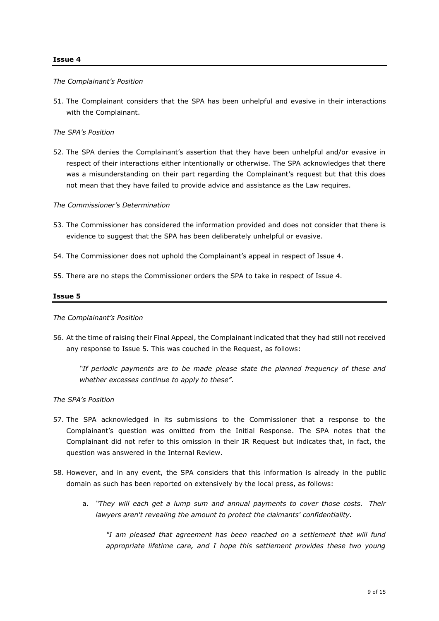### **Issue 4**

#### *The Complainant's Position*

51. The Complainant considers that the SPA has been unhelpful and evasive in their interactions with the Complainant.

#### *The SPA's Position*

52. The SPA denies the Complainant's assertion that they have been unhelpful and/or evasive in respect of their interactions either intentionally or otherwise. The SPA acknowledges that there was a misunderstanding on their part regarding the Complainant's request but that this does not mean that they have failed to provide advice and assistance as the Law requires.

#### *The Commissioner's Determination*

- 53. The Commissioner has considered the information provided and does not consider that there is evidence to suggest that the SPA has been deliberately unhelpful or evasive.
- 54. The Commissioner does not uphold the Complainant's appeal in respect of Issue 4.
- 55. There are no steps the Commissioner orders the SPA to take in respect of Issue 4.

#### **Issue 5**

### *The Complainant's Position*

56. At the time of raising their Final Appeal, the Complainant indicated that they had still not received any response to Issue 5. This was couched in the Request, as follows:

*"If periodic payments are to be made please state the planned frequency of these and whether excesses continue to apply to these".*

*The SPA's Position*

- 57. The SPA acknowledged in its submissions to the Commissioner that a response to the Complainant's question was omitted from the Initial Response. The SPA notes that the Complainant did not refer to this omission in their IR Request but indicates that, in fact, the question was answered in the Internal Review.
- 58. However, and in any event, the SPA considers that this information is already in the public domain as such has been reported on extensively by the local press, as follows:
	- a. *"They will each get a lump sum and annual payments to cover those costs. Their lawyers aren't revealing the amount to protect the claimants' confidentiality.*

*"I am pleased that agreement has been reached on a settlement that will fund appropriate lifetime care, and I hope this settlement provides these two young*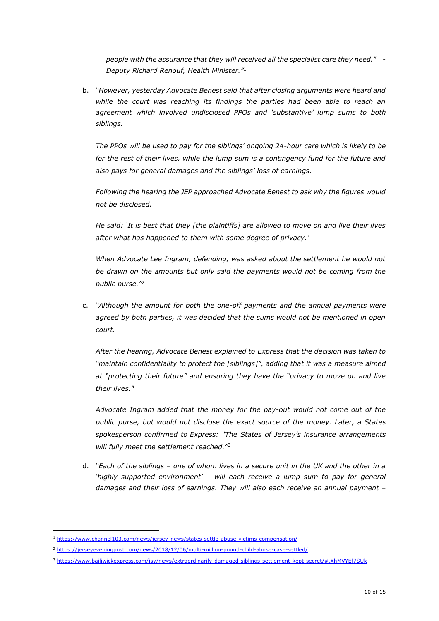*people with the assurance that they will received all the specialist care they need." - Deputy Richard Renouf, Health Minister."*<sup>1</sup>

b. *"However, yesterday Advocate Benest said that after closing arguments were heard and while the court was reaching its findings the parties had been able to reach an agreement which involved undisclosed PPOs and 'substantive' lump sums to both siblings.*

*The PPOs will be used to pay for the siblings' ongoing 24-hour care which is likely to be for the rest of their lives, while the lump sum is a contingency fund for the future and also pays for general damages and the siblings' loss of earnings.*

*Following the hearing the JEP approached Advocate Benest to ask why the figures would not be disclosed.*

*He said: 'It is best that they [the plaintiffs] are allowed to move on and live their lives after what has happened to them with some degree of privacy.'*

*When Advocate Lee Ingram, defending, was asked about the settlement he would not be drawn on the amounts but only said the payments would not be coming from the public purse."* 2

c. *"Although the amount for both the one-off payments and the annual payments were agreed by both parties, it was decided that the sums would not be mentioned in open court.*

*After the hearing, Advocate Benest explained to Express that the decision was taken to "maintain confidentiality to protect the [siblings]", adding that it was a measure aimed at "protecting their future" and ensuring they have the "privacy to move on and live their lives."*

*Advocate Ingram added that the money for the pay-out would not come out of the public purse, but would not disclose the exact source of the money. Later, a States spokesperson confirmed to Express: "The States of Jersey's insurance arrangements will fully meet the settlement reached."*<sup>3</sup>

d. *"Each of the siblings – one of whom lives in a secure unit in the UK and the other in a 'highly supported environment' – will each receive a lump sum to pay for general damages and their loss of earnings. They will also each receive an annual payment –*

-

<sup>1</sup> <https://www.channel103.com/news/jersey-news/states-settle-abuse-victims-compensation/>

<sup>&</sup>lt;sup>2</sup> <https://jerseyeveningpost.com/news/2018/12/06/multi-million-pound-child-abuse-case-settled/>

<sup>3</sup> <https://www.bailiwickexpress.com/jsy/news/extraordinarily-damaged-siblings-settlement-kept-secret/#.XhMVYEf7SUk>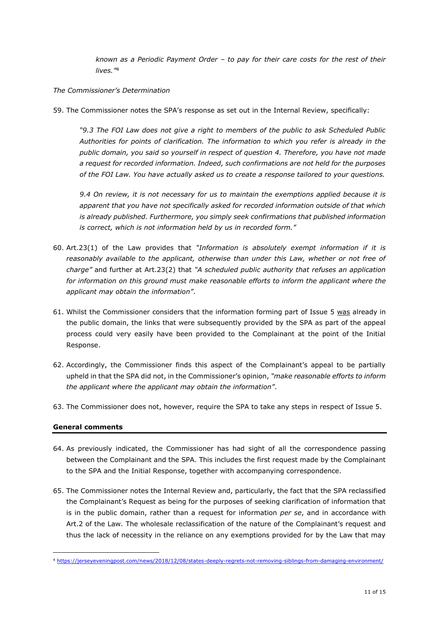*known as a Periodic Payment Order – to pay for their care costs for the rest of their lives."*<sup>4</sup>

*The Commissioner's Determination*

59. The Commissioner notes the SPA's response as set out in the Internal Review, specifically:

*"9.3 The FOI Law does not give a right to members of the public to ask Scheduled Public Authorities for points of clarification. The information to which you refer is already in the public domain, you said so yourself in respect of question 4. Therefore, you have not made a request for recorded information. Indeed, such confirmations are not held for the purposes of the FOI Law. You have actually asked us to create a response tailored to your questions.* 

*9.4 On review, it is not necessary for us to maintain the exemptions applied because it is apparent that you have not specifically asked for recorded information outside of that which is already published. Furthermore, you simply seek confirmations that published information is correct, which is not information held by us in recorded form."*

- 60. Art.23(1) of the Law provides that *"Information is absolutely exempt information if it is reasonably available to the applicant, otherwise than under this Law, whether or not free of charge"* and further at Art.23(2) that *"A scheduled public authority that refuses an application for information on this ground must make reasonable efforts to inform the applicant where the applicant may obtain the information"*.
- 61. Whilst the Commissioner considers that the information forming part of Issue 5 was already in the public domain, the links that were subsequently provided by the SPA as part of the appeal process could very easily have been provided to the Complainant at the point of the Initial Response.
- 62. Accordingly, the Commissioner finds this aspect of the Complainant's appeal to be partially upheld in that the SPA did not, in the Commissioner's opinion, *"make reasonable efforts to inform the applicant where the applicant may obtain the information"*.
- 63. The Commissioner does not, however, require the SPA to take any steps in respect of Issue 5.

### **General comments**

-

- 64. As previously indicated, the Commissioner has had sight of all the correspondence passing between the Complainant and the SPA. This includes the first request made by the Complainant to the SPA and the Initial Response, together with accompanying correspondence.
- 65. The Commissioner notes the Internal Review and, particularly, the fact that the SPA reclassified the Complainant's Request as being for the purposes of seeking clarification of information that is in the public domain, rather than a request for information *per se*, and in accordance with Art.2 of the Law. The wholesale reclassification of the nature of the Complainant's request and thus the lack of necessity in the reliance on any exemptions provided for by the Law that may

<sup>4</sup> <https://jerseyeveningpost.com/news/2018/12/08/states-deeply-regrets-not-removing-siblings-from-damaging-environment/>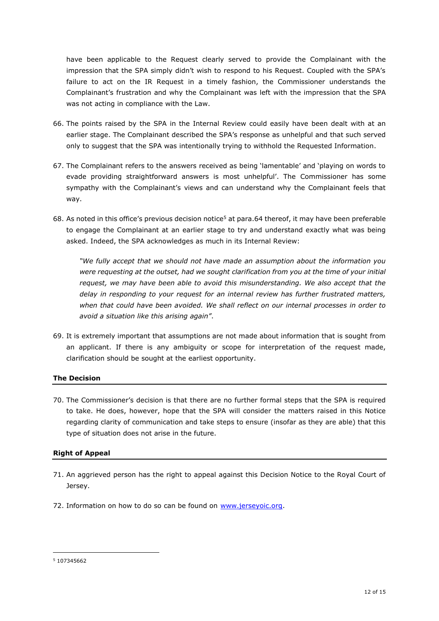have been applicable to the Request clearly served to provide the Complainant with the impression that the SPA simply didn't wish to respond to his Request. Coupled with the SPA's failure to act on the IR Request in a timely fashion, the Commissioner understands the Complainant's frustration and why the Complainant was left with the impression that the SPA was not acting in compliance with the Law.

- 66. The points raised by the SPA in the Internal Review could easily have been dealt with at an earlier stage. The Complainant described the SPA's response as unhelpful and that such served only to suggest that the SPA was intentionally trying to withhold the Requested Information.
- 67. The Complainant refers to the answers received as being 'lamentable' and 'playing on words to evade providing straightforward answers is most unhelpful'. The Commissioner has some sympathy with the Complainant's views and can understand why the Complainant feels that way.
- 68. As noted in this office's previous decision notice<sup>5</sup> at para.64 thereof, it may have been preferable to engage the Complainant at an earlier stage to try and understand exactly what was being asked. Indeed, the SPA acknowledges as much in its Internal Review:

*"We fully accept that we should not have made an assumption about the information you were requesting at the outset, had we sought clarification from you at the time of your initial request, we may have been able to avoid this misunderstanding. We also accept that the delay in responding to your request for an internal review has further frustrated matters, when that could have been avoided. We shall reflect on our internal processes in order to avoid a situation like this arising again"*.

69. It is extremely important that assumptions are not made about information that is sought from an applicant. If there is any ambiguity or scope for interpretation of the request made, clarification should be sought at the earliest opportunity.

## **The Decision**

70. The Commissioner's decision is that there are no further formal steps that the SPA is required to take. He does, however, hope that the SPA will consider the matters raised in this Notice regarding clarity of communication and take steps to ensure (insofar as they are able) that this type of situation does not arise in the future.

# **Right of Appeal**

- 71. An aggrieved person has the right to appeal against this Decision Notice to the Royal Court of Jersey.
- 72. Information on how to do so can be found on [www.jerseyoic.org.](http://www.jerseyoic.org/)

-

<sup>5</sup> 107345662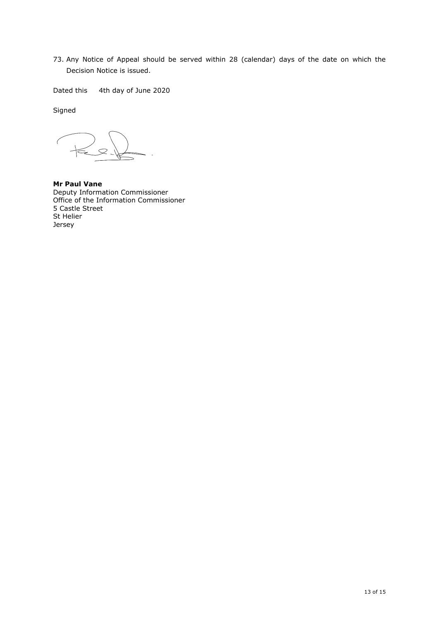73. Any Notice of Appeal should be served within 28 (calendar) days of the date on which the Decision Notice is issued.

Dated this 4th day of June 2020

Signed

 $\bigg($ 

**Mr Paul Vane** Deputy Information Commissioner Office of the Information Commissioner 5 Castle Street St Helier Jersey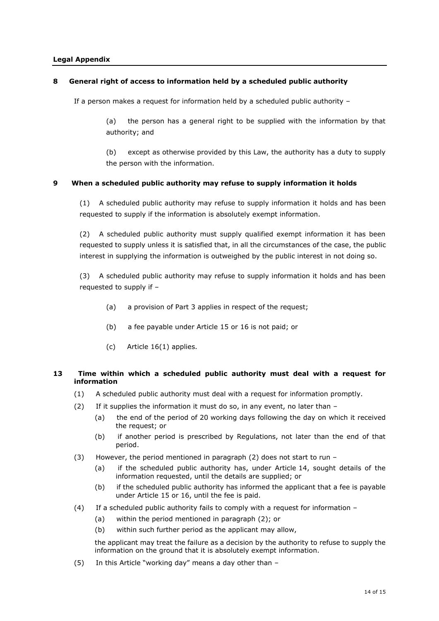### **Legal Appendix**

#### **8 General right of access to information held by a scheduled public authority**

If a person makes a request for information held by a scheduled public authority –

(a) the person has a general right to be supplied with the information by that authority; and

(b) except as otherwise provided by this Law, the authority has a duty to supply the person with the information.

#### **9 When a scheduled public authority may refuse to supply information it holds**

(1) A scheduled public authority may refuse to supply information it holds and has been requested to supply if the information is absolutely exempt information.

(2) A scheduled public authority must supply qualified exempt information it has been requested to supply unless it is satisfied that, in all the circumstances of the case, the public interest in supplying the information is outweighed by the public interest in not doing so.

(3) A scheduled public authority may refuse to supply information it holds and has been requested to supply if –

- (a) a provision of Part 3 applies in respect of the request;
- (b) a fee payable under Article 15 or 16 is not paid; or
- (c) Article 16(1) applies.

#### **13 Time within which a scheduled public authority must deal with a request for information**

- (1) A scheduled public authority must deal with a request for information promptly.
- (2) If it supplies the information it must do so, in any event, no later than
	- (a) the end of the period of 20 working days following the day on which it received the request; or
	- (b) if another period is prescribed by Regulations, not later than the end of that period.
- (3) However, the period mentioned in paragraph (2) does not start to run
	- (a) if the scheduled public authority has, under Article 14, sought details of the information requested, until the details are supplied; or
	- (b) if the scheduled public authority has informed the applicant that a fee is payable under Article 15 or 16, until the fee is paid.
- (4) If a scheduled public authority fails to comply with a request for information
	- (a) within the period mentioned in paragraph (2); or
	- (b) within such further period as the applicant may allow,

the applicant may treat the failure as a decision by the authority to refuse to supply the information on the ground that it is absolutely exempt information.

(5) In this Article "working day" means a day other than –